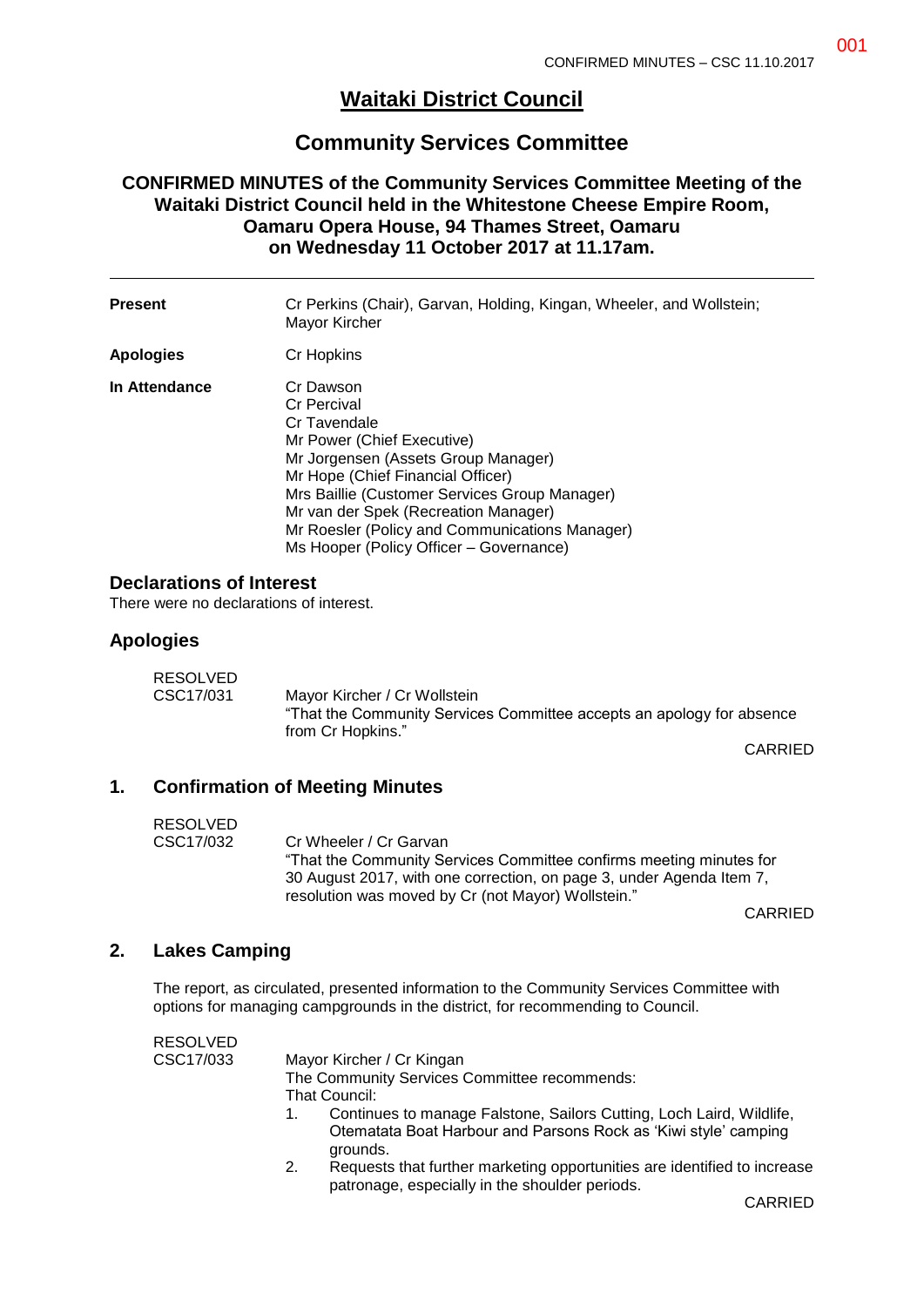001

# **Waitaki District Council**

## **Community Services Committee**

## **CONFIRMED MINUTES of the Community Services Committee Meeting of the Waitaki District Council held in the Whitestone Cheese Empire Room, Oamaru Opera House, 94 Thames Street, Oamaru on Wednesday 11 October 2017 at 11.17am.**

| <b>Present</b> | Cr Perkins (Chair), Garvan, Holding, Kingan, Wheeler, and Wollstein;<br>Mayor Kircher                                                                                                                                                                                                                                                    |
|----------------|------------------------------------------------------------------------------------------------------------------------------------------------------------------------------------------------------------------------------------------------------------------------------------------------------------------------------------------|
| Apologies      | Cr Hopkins                                                                                                                                                                                                                                                                                                                               |
| In Attendance  | Cr Dawson<br>Cr Percival<br>Cr Tavendale<br>Mr Power (Chief Executive)<br>Mr Jorgensen (Assets Group Manager)<br>Mr Hope (Chief Financial Officer)<br>Mrs Baillie (Customer Services Group Manager)<br>Mr van der Spek (Recreation Manager)<br>Mr Roesler (Policy and Communications Manager)<br>Ms Hooper (Policy Officer - Governance) |

#### **Declarations of Interest**

There were no declarations of interest.

#### **Apologies**

| RESOLVED  |                                                                                                                             |
|-----------|-----------------------------------------------------------------------------------------------------------------------------|
| CSC17/031 | Mayor Kircher / Cr Wollstein<br>"That the Community Services Committee accepts an apology for absence"<br>from Cr Hopkins." |

CARRIED

## **1. Confirmation of Meeting Minutes**

| RESOLVED  |                                                                      |
|-----------|----------------------------------------------------------------------|
| CSC17/032 | Cr Wheeler / Cr Garvan                                               |
|           | "That the Community Services Committee confirms meeting minutes for  |
|           | 30 August 2017, with one correction, on page 3, under Agenda Item 7, |
|           | resolution was moved by Cr (not Mayor) Wollstein."                   |

CARRIED

## **2. Lakes Camping**

The report, as circulated, presented information to the Community Services Committee with options for managing campgrounds in the district, for recommending to Council.

| <b>RESOLVED</b> |                                                                                                                                                     |
|-----------------|-----------------------------------------------------------------------------------------------------------------------------------------------------|
| CSC17/033       | Mayor Kircher / Cr Kingan                                                                                                                           |
|                 | The Community Services Committee recommends:                                                                                                        |
|                 | That Council:                                                                                                                                       |
|                 | Continues to manage Falstone, Sailors Cutting, Loch Laird, Wildlife,<br>Otematata Boat Harbour and Parsons Rock as 'Kiwi style' camping<br>grounds. |
|                 | Requests that further marketing opportunities are identified to increase<br>2.<br>patronage, especially in the shoulder periods.                    |

CARRIED